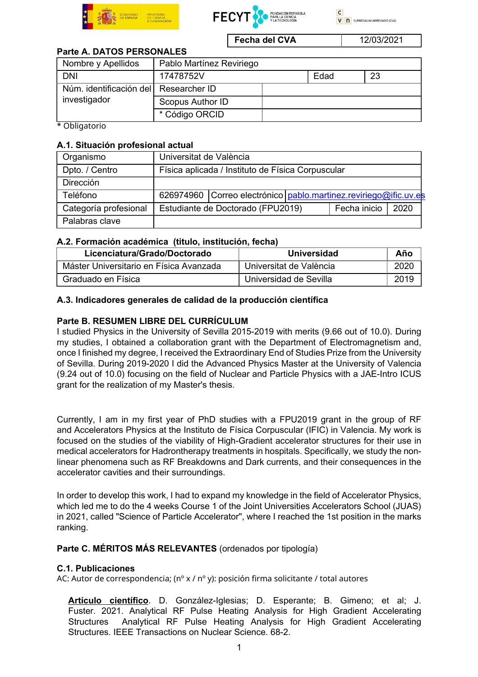





Fecha del CVA 12/03/2021

### Parte A. DATOS PERSONALES

| Nombre y Apellidos                                    | Pablo Martínez Reviriego |      |    |  |
|-------------------------------------------------------|--------------------------|------|----|--|
| <b>DNI</b>                                            | 17478752V                | Edad | 23 |  |
| Núm. identificación del Researcher ID<br>investigador |                          |      |    |  |
|                                                       | Scopus Author ID         |      |    |  |
|                                                       | * Código ORCID           |      |    |  |

\* Obligatorio

#### A.1. Situación profesional actual

| Organismo             | Universitat de València                           |                                                                    |  |              |      |
|-----------------------|---------------------------------------------------|--------------------------------------------------------------------|--|--------------|------|
| Dpto. / Centro        | Física aplicada / Instituto de Física Corpuscular |                                                                    |  |              |      |
| <b>Dirección</b>      |                                                   |                                                                    |  |              |      |
| Teléfono              |                                                   | 626974960 Correo electrónico   pablo.martinez.reviriego@ific.uv.es |  |              |      |
| Categoría profesional |                                                   | Estudiante de Doctorado (FPU2019)                                  |  | Fecha inicio | 2020 |
| Palabras clave        |                                                   |                                                                    |  |              |      |

### A.2. Formación académica (titulo, institución, fecha)

| Licenciatura/Grado/Doctorado            | Universidad             | Año  |
|-----------------------------------------|-------------------------|------|
| Máster Universitario en Física Avanzada | Universitat de València | 2020 |
| Graduado en Física                      | Universidad de Sevilla  | 2019 |

#### A.3. Indicadores generales de calidad de la producción científica

### Parte B. RESUMEN LIBRE DEL CURRÍCULUM

I studied Physics in the University of Sevilla 2015-2019 with merits (9.66 out of 10.0). During my studies, I obtained a collaboration grant with the Department of Electromagnetism and, once I finished my degree, I received the Extraordinary End of Studies Prize from the University of Sevilla. During 2019-2020 I did the Advanced Physics Master at the University of Valencia (9.24 out of 10.0) focusing on the field of Nuclear and Particle Physics with a JAE-Intro ICUS grant for the realization of my Master's thesis.

Currently, I am in my first year of PhD studies with a FPU2019 grant in the group of RF and Accelerators Physics at the Instituto de Física Corpuscular (IFIC) in Valencia. My work is focused on the studies of the viability of High-Gradient accelerator structures for their use in medical accelerators for Hadrontherapy treatments in hospitals. Specifically, we study the nonlinear phenomena such as RF Breakdowns and Dark currents, and their consequences in the accelerator cavities and their surroundings.

In order to develop this work, I had to expand my knowledge in the field of Accelerator Physics, which led me to do the 4 weeks Course 1 of the Joint Universities Accelerators School (JUAS) in 2021, called "Science of Particle Accelerator", where I reached the 1st position in the marks ranking.

### Parte C. MÉRITOS MÁS RELEVANTES (ordenados por tipología)

#### C.1. Publicaciones

AC: Autor de correspondencia; (nº x / nº y): posición firma solicitante / total autores

Artículo científico. D. González-Iglesias; D. Esperante; B. Gimeno; et al; J. Fuster. 2021. Analytical RF Pulse Heating Analysis for High Gradient Accelerating Structures Analytical RF Pulse Heating Analysis for High Gradient Accelerating Structures. IEEE Transactions on Nuclear Science. 68-2.